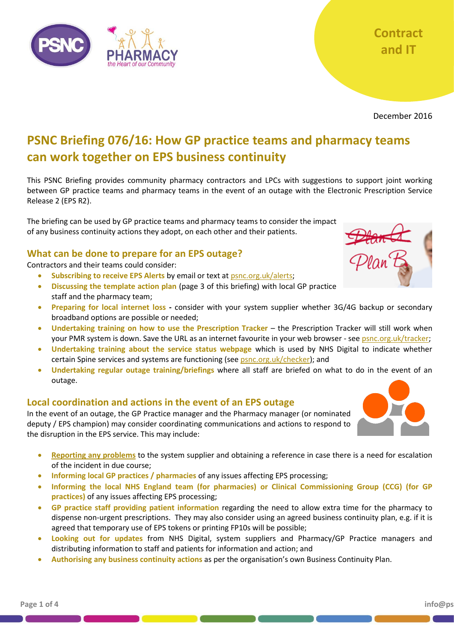

December 2016

# **PSNC Briefing 076/16: How GP practice teams and pharmacy teams can work together on EPS business continuity**

This PSNC Briefing provides community pharmacy contractors and LPCs with suggestions to support joint working between GP practice teams and pharmacy teams in the event of an outage with the Electronic Prescription Service Release 2 (EPS R2).

The briefing can be used by GP practice teams and pharmacy teams to consider the impact of any business continuity actions they adopt, on each other and their patients.

## **What can be done to prepare for an EPS outage?**

Contractors and their teams could consider:

- **Subscribing to receive EPS Alerts** by email or text at [psnc.org.uk/alerts;](http://psnc.org.uk/alerts)
- **Discussing the template action plan** (page 3 of this briefing) with local GP practice staff and the pharmacy team;
- **Preparing for local internet loss -** consider with your system supplier whether 3G/4G backup or secondary broadband options are possible or needed;
- **Undertaking training on how to use the Prescription Tracker** the Prescription Tracker will still work when your PMR system is down. Save the URL as an internet favourite in your web browser - se[e psnc.org.uk/tracker;](http://psnc.org.uk/tracker)
- **Undertaking training about the service status webpage** which is used by NHS Digital to indicate whether certain Spine services and systems are functioning (see [psnc.org.uk/checker\)](http://psnc.org.uk/checker); and
- **Undertaking regular outage training/briefings** where all staff are briefed on what to do in the event of an outage.

## **Local coordination and actions in the event of an EPS outage**

In the event of an outage, the GP Practice manager and the Pharmacy manager (or nominated deputy / EPS champion) may consider coordinating communications and actions to respond to the disruption in the EPS service. This may include:

- **Reporting [any problems](http://psnc.org.uk/contract-it/psnc-briefings-pharmacy-contract-and-it/psnc-briefing-02416-reporting-eps-issues-april-2016/)** to the system supplier and obtaining a reference in case there is a need for escalation of the incident in due course;
- **Informing local GP practices / pharmacies** of any issues affecting EPS processing;
- **Informing the local NHS England team (for pharmacies) or Clinical Commissioning Group (CCG) (for GP practices)** of any issues affecting EPS processing;
- **GP practice staff providing patient information** regarding the need to allow extra time for the pharmacy to dispense non-urgent prescriptions. They may also consider using an agreed business continuity plan, e.g. if it is agreed that temporary use of EPS tokens or printing FP10s will be possible;
- **Looking out for updates** from NHS Digital, system suppliers and Pharmacy/GP Practice managers and distributing information to staff and patients for information and action; and
- **Authorising any business continuity actions** as per the organisation's own Business Continuity Plan.



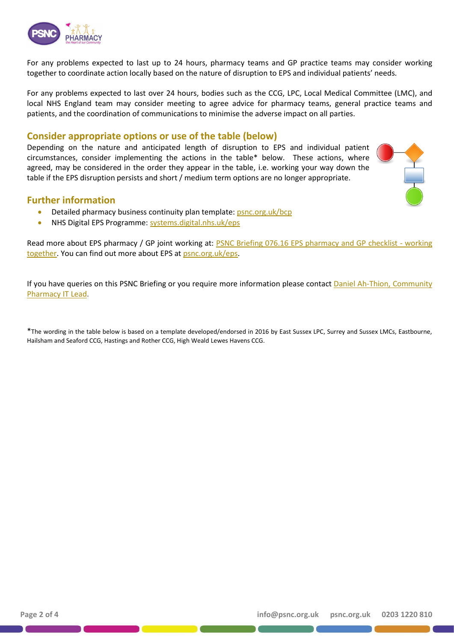

For any problems expected to last up to 24 hours, pharmacy teams and GP practice teams may consider working together to coordinate action locally based on the nature of disruption to EPS and individual patients' needs.

For any problems expected to last over 24 hours, bodies such as the CCG, LPC, Local Medical Committee (LMC), and local NHS England team may consider meeting to agree advice for pharmacy teams, general practice teams and patients, and the coordination of communications to minimise the adverse impact on all parties.

#### **Consider appropriate options or use of the table (below)**

Depending on the nature and anticipated length of disruption to EPS and individual patient circumstances, consider implementing the actions in the table\* below. These actions, where agreed, may be considered in the order they appear in the table, i.e. working your way down the table if the EPS disruption persists and short / medium term options are no longer appropriate.



#### **Further information**

- Detailed pharmacy business continuity plan template: [psnc.org.uk/bcp](http://www.psnc.org.uk/bcp)
- NHS Digital EPS Programme: [systems.digital.nhs.uk/eps](http://systems.digital.nhs.uk/eps)

Read more about EPS pharmacy / GP joint working at: **PSNC Briefing 076.16 EPS pharmacy and GP** checklist - working [together.](http://psnc.org.uk/contract-it/psnc-briefings-pharmacy-contract-and-it/psnc-briefing-07516-eps-pharmacy-and-gp-checklist-working-together-december-2016/) You can find out more about EPS at [psnc.org.uk/eps.](http://psnc.org.uk/eps)

If you have queries on this PSNC Briefing or you require more information please contact [Daniel Ah-Thion, Community](mailto:Daniel%20Ah-Thion@psnc.org.uk)  [Pharmacy IT](mailto:Daniel%20Ah-Thion@psnc.org.uk) Lead.

\*The wording in the table below is based on a template developed/endorsed in 2016 by East Sussex LPC, Surrey and Sussex LMCs, Eastbourne, Hailsham and Seaford CCG, Hastings and Rother CCG, High Weald Lewes Havens CCG.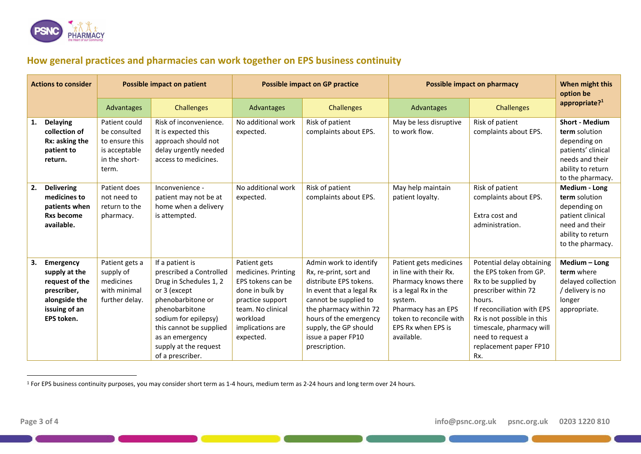

# **How general practices and pharmacies can work together on EPS business continuity**

| <b>Actions to consider</b> |                                                                                                             | <b>Possible impact on patient</b>                                                          |                                                                                                                                                                                                                                                | <b>Possible impact on GP practice</b>                                                                                                                             |                                                                                                                                                                                                                                                     | <b>Possible impact on pharmacy</b>                                                                                                                                                                |                                                                                                                                                                                                                                                             | When might this<br>option be                                                                                                             |
|----------------------------|-------------------------------------------------------------------------------------------------------------|--------------------------------------------------------------------------------------------|------------------------------------------------------------------------------------------------------------------------------------------------------------------------------------------------------------------------------------------------|-------------------------------------------------------------------------------------------------------------------------------------------------------------------|-----------------------------------------------------------------------------------------------------------------------------------------------------------------------------------------------------------------------------------------------------|---------------------------------------------------------------------------------------------------------------------------------------------------------------------------------------------------|-------------------------------------------------------------------------------------------------------------------------------------------------------------------------------------------------------------------------------------------------------------|------------------------------------------------------------------------------------------------------------------------------------------|
|                            |                                                                                                             | Advantages                                                                                 | <b>Challenges</b>                                                                                                                                                                                                                              | Advantages                                                                                                                                                        | <b>Challenges</b>                                                                                                                                                                                                                                   | Advantages                                                                                                                                                                                        | <b>Challenges</b>                                                                                                                                                                                                                                           | appropriate? $1$                                                                                                                         |
| 1.                         | <b>Delaying</b><br>collection of<br>Rx: asking the<br>patient to<br>return.                                 | Patient could<br>be consulted<br>to ensure this<br>is acceptable<br>in the short-<br>term. | Risk of inconvenience.<br>It is expected this<br>approach should not<br>delay urgently needed<br>access to medicines.                                                                                                                          | No additional work<br>expected.                                                                                                                                   | Risk of patient<br>complaints about EPS.                                                                                                                                                                                                            | May be less disruptive<br>to work flow.                                                                                                                                                           | Risk of patient<br>complaints about EPS.                                                                                                                                                                                                                    | <b>Short - Medium</b><br>term solution<br>depending on<br>patients' clinical<br>needs and their<br>ability to return<br>to the pharmacy. |
| 2.                         | <b>Delivering</b><br>medicines to<br>patients when<br><b>Rxs become</b><br>available.                       | Patient does<br>not need to<br>return to the<br>pharmacy.                                  | Inconvenience -<br>patient may not be at<br>home when a delivery<br>is attempted.                                                                                                                                                              | No additional work<br>expected.                                                                                                                                   | Risk of patient<br>complaints about EPS.                                                                                                                                                                                                            | May help maintain<br>patient loyalty.                                                                                                                                                             | Risk of patient<br>complaints about EPS.<br>Extra cost and<br>administration.                                                                                                                                                                               | Medium - Long<br>term solution<br>depending on<br>patient clinical<br>need and their<br>ability to return<br>to the pharmacy.            |
| З.                         | Emergency<br>supply at the<br>request of the<br>prescriber,<br>alongside the<br>issuing of an<br>EPS token. | Patient gets a<br>supply of<br>medicines<br>with minimal<br>further delay.                 | If a patient is<br>prescribed a Controlled<br>Drug in Schedules 1, 2<br>or 3 (except<br>phenobarbitone or<br>phenobarbitone<br>sodium for epilepsy)<br>this cannot be supplied<br>as an emergency<br>supply at the request<br>of a prescriber. | Patient gets<br>medicines. Printing<br>EPS tokens can be<br>done in bulk by<br>practice support<br>team. No clinical<br>workload<br>implications are<br>expected. | Admin work to identify<br>Rx, re-print, sort and<br>distribute EPS tokens.<br>In event that a legal Rx<br>cannot be supplied to<br>the pharmacy within 72<br>hours of the emergency<br>supply, the GP should<br>issue a paper FP10<br>prescription. | Patient gets medicines<br>in line with their Rx.<br>Pharmacy knows there<br>is a legal Rx in the<br>system.<br>Pharmacy has an EPS<br>token to reconcile with<br>EPS Rx when EPS is<br>available. | Potential delay obtaining<br>the EPS token from GP.<br>Rx to be supplied by<br>prescriber within 72<br>hours.<br>If reconciliation with EPS<br>Rx is not possible in this<br>timescale, pharmacy will<br>need to request a<br>replacement paper FP10<br>Rx. | Medium - Long<br>term where<br>delayed collection<br>/ delivery is no<br>longer<br>appropriate.                                          |

<sup>&</sup>lt;sup>1</sup> For EPS business continuity purposes, you may consider short term as 1-4 hours, medium term as 2-24 hours and long term over 24 hours.

 $\ddot{\phantom{a}}$